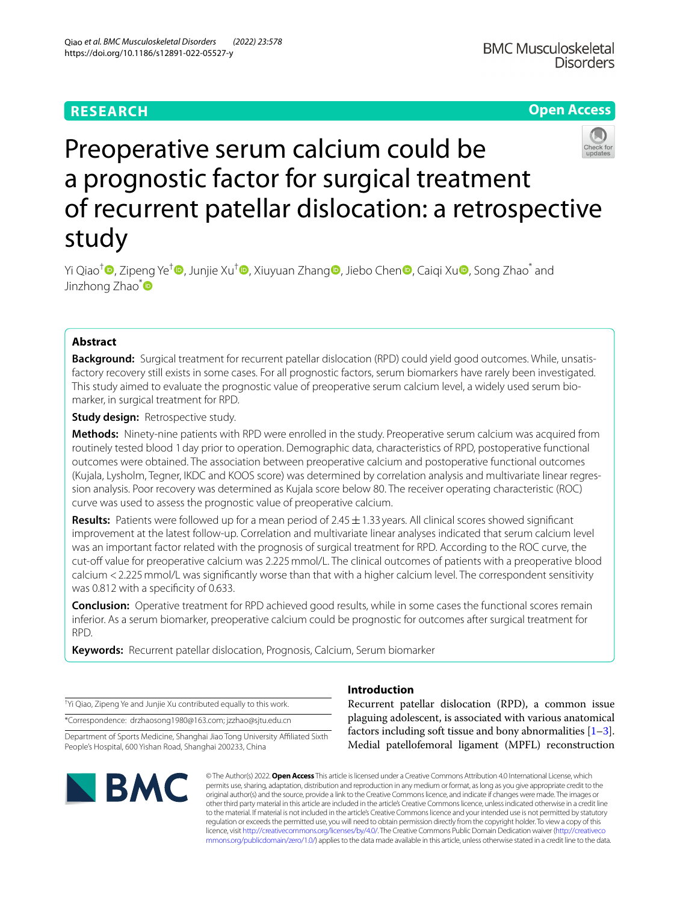# **RESEARCH**

# **Open Access**



# Preoperative serum calcium could be a prognostic factor for surgical treatment of recurrent patellar dislocation: a retrospective study

Yi Qiao<sup>†</sup> [,](https://orcid.org/0000-0003-2778-4418) Zipeng Ye<sup>[†](https://orcid.org/0000-0001-9353-0331)</sup> , Junjie Xu<sup>†</sup> , Xiuyuan Zhan[g](https://orcid.org/0000-0002-0142-3879) [,](https://orcid.org/0000-0002-3057-7842) Jiebo Chen , Caiqi Xu , Song Zhao\* and Jinzhong Zhao<sup>\*</sup>

# **Abstract**

**Background:** Surgical treatment for recurrent patellar dislocation (RPD) could yield good outcomes. While, unsatisfactory recovery still exists in some cases. For all prognostic factors, serum biomarkers have rarely been investigated. This study aimed to evaluate the prognostic value of preoperative serum calcium level, a widely used serum biomarker, in surgical treatment for RPD.

**Study design: Retrospective study.** 

**Methods:** Ninety-nine patients with RPD were enrolled in the study. Preoperative serum calcium was acquired from routinely tested blood 1day prior to operation. Demographic data, characteristics of RPD, postoperative functional outcomes were obtained. The association between preoperative calcium and postoperative functional outcomes (Kujala, Lysholm, Tegner, IKDC and KOOS score) was determined by correlation analysis and multivariate linear regression analysis. Poor recovery was determined as Kujala score below 80. The receiver operating characteristic (ROC) curve was used to assess the prognostic value of preoperative calcium.

**Results:** Patients were followed up for a mean period of 2.45  $\pm$  1.33 years. All clinical scores showed significant improvement at the latest follow-up. Correlation and multivariate linear analyses indicated that serum calcium level was an important factor related with the prognosis of surgical treatment for RPD. According to the ROC curve, the cut-off value for preoperative calcium was 2.225 mmol/L. The clinical outcomes of patients with a preoperative blood calcium <2.225mmol/L was signifcantly worse than that with a higher calcium level. The correspondent sensitivity was 0.812 with a specificity of 0.633.

**Conclusion:** Operative treatment for RPD achieved good results, while in some cases the functional scores remain inferior. As a serum biomarker, preoperative calcium could be prognostic for outcomes after surgical treatment for RPD.

**Keywords:** Recurrent patellar dislocation, Prognosis, Calcium, Serum biomarker

† Yi Qiao, Zipeng Ye and Junjie Xu contributed equally to this work.

\*Correspondence: drzhaosong1980@163.com; jzzhao@sjtu.edu.cn

Department of Sports Medicine, Shanghai Jiao Tong University Afliated Sixth People's Hospital, 600 Yishan Road, Shanghai 200233, China



# **Introduction**

Recurrent patellar dislocation (RPD), a common issue plaguing adolescent, is associated with various anatomical factors including soft tissue and bony abnormalities  $[1-3]$  $[1-3]$  $[1-3]$ . Medial patellofemoral ligament (MPFL) reconstruction

© The Author(s) 2022. **Open Access** This article is licensed under a Creative Commons Attribution 4.0 International License, which permits use, sharing, adaptation, distribution and reproduction in any medium or format, as long as you give appropriate credit to the original author(s) and the source, provide a link to the Creative Commons licence, and indicate if changes were made. The images or other third party material in this article are included in the article's Creative Commons licence, unless indicated otherwise in a credit line to the material. If material is not included in the article's Creative Commons licence and your intended use is not permitted by statutory regulation or exceeds the permitted use, you will need to obtain permission directly from the copyright holder. To view a copy of this licence, visit [http://creativecommons.org/licenses/by/4.0/.](http://creativecommons.org/licenses/by/4.0/) The Creative Commons Public Domain Dedication waiver ([http://creativeco](http://creativecommons.org/publicdomain/zero/1.0/) [mmons.org/publicdomain/zero/1.0/](http://creativecommons.org/publicdomain/zero/1.0/)) applies to the data made available in this article, unless otherwise stated in a credit line to the data.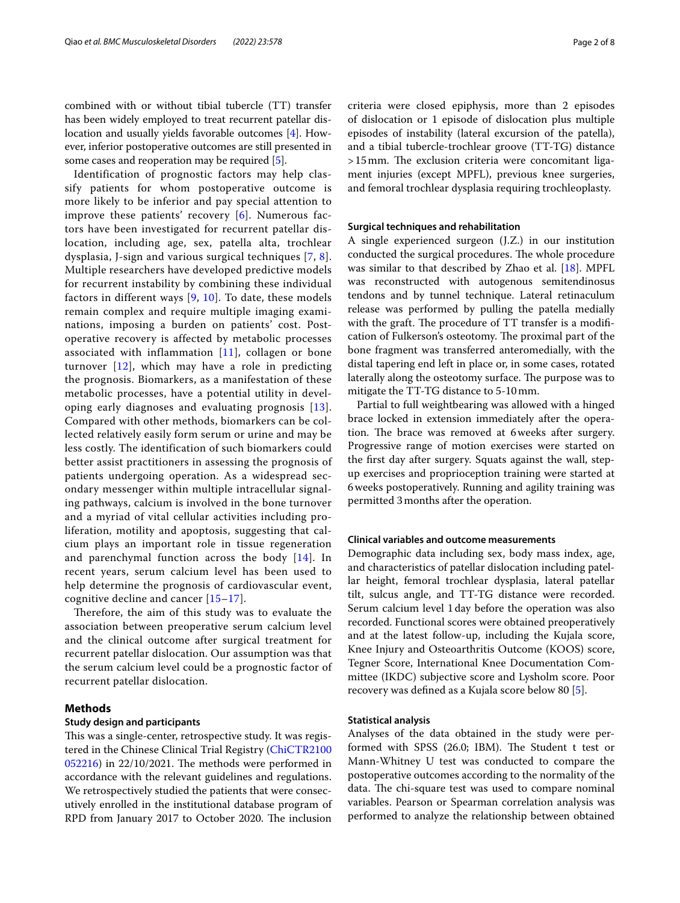combined with or without tibial tubercle (TT) transfer has been widely employed to treat recurrent patellar dislocation and usually yields favorable outcomes [\[4\]](#page-6-2). However, inferior postoperative outcomes are still presented in some cases and reoperation may be required [\[5](#page-6-3)].

Identification of prognostic factors may help classify patients for whom postoperative outcome is more likely to be inferior and pay special attention to improve these patients' recovery [\[6\]](#page-6-4). Numerous factors have been investigated for recurrent patellar dislocation, including age, sex, patella alta, trochlear dysplasia, J-sign and various surgical techniques [\[7,](#page-6-5) [8\]](#page-6-6). Multiple researchers have developed predictive models for recurrent instability by combining these individual factors in different ways  $[9, 10]$  $[9, 10]$  $[9, 10]$  $[9, 10]$ . To date, these models remain complex and require multiple imaging examinations, imposing a burden on patients' cost. Postoperative recovery is affected by metabolic processes associated with inflammation  $[11]$  $[11]$  $[11]$ , collagen or bone turnover [\[12\]](#page-6-10), which may have a role in predicting the prognosis. Biomarkers, as a manifestation of these metabolic processes, have a potential utility in developing early diagnoses and evaluating prognosis [[13\]](#page-7-0). Compared with other methods, biomarkers can be collected relatively easily form serum or urine and may be less costly. The identification of such biomarkers could better assist practitioners in assessing the prognosis of patients undergoing operation. As a widespread secondary messenger within multiple intracellular signaling pathways, calcium is involved in the bone turnover and a myriad of vital cellular activities including proliferation, motility and apoptosis, suggesting that calcium plays an important role in tissue regeneration and parenchymal function across the body [\[14](#page-7-1)]. In recent years, serum calcium level has been used to help determine the prognosis of cardiovascular event, cognitive decline and cancer [[15–](#page-7-2)[17](#page-7-3)].

Therefore, the aim of this study was to evaluate the association between preoperative serum calcium level and the clinical outcome after surgical treatment for recurrent patellar dislocation. Our assumption was that the serum calcium level could be a prognostic factor of recurrent patellar dislocation.

# **Methods**

## **Study design and participants**

This was a single-center, retrospective study. It was registered in the Chinese Clinical Trial Registry [\(ChiCTR2100](http://www.chictr.org.cn/index.aspx)  $052216$ ) in  $22/10/2021$ . The methods were performed in accordance with the relevant guidelines and regulations. We retrospectively studied the patients that were consecutively enrolled in the institutional database program of RPD from January 2017 to October 2020. The inclusion criteria were closed epiphysis, more than 2 episodes of dislocation or 1 episode of dislocation plus multiple episodes of instability (lateral excursion of the patella), and a tibial tubercle-trochlear groove (TT-TG) distance  $>15$  mm. The exclusion criteria were concomitant ligament injuries (except MPFL), previous knee surgeries, and femoral trochlear dysplasia requiring trochleoplasty.

#### **Surgical techniques and rehabilitation**

A single experienced surgeon (J.Z.) in our institution conducted the surgical procedures. The whole procedure was similar to that described by Zhao et al. [\[18](#page-7-4)]. MPFL was reconstructed with autogenous semitendinosus tendons and by tunnel technique. Lateral retinaculum release was performed by pulling the patella medially with the graft. The procedure of TT transfer is a modification of Fulkerson's osteotomy. The proximal part of the bone fragment was transferred anteromedially, with the distal tapering end left in place or, in some cases, rotated laterally along the osteotomy surface. The purpose was to mitigate the TT-TG distance to 5-10mm.

Partial to full weightbearing was allowed with a hinged brace locked in extension immediately after the operation. The brace was removed at 6 weeks after surgery. Progressive range of motion exercises were started on the frst day after surgery. Squats against the wall, stepup exercises and proprioception training were started at 6weeks postoperatively. Running and agility training was permitted 3months after the operation.

## **Clinical variables and outcome measurements**

Demographic data including sex, body mass index, age, and characteristics of patellar dislocation including patellar height, femoral trochlear dysplasia, lateral patellar tilt, sulcus angle, and TT-TG distance were recorded. Serum calcium level 1day before the operation was also recorded. Functional scores were obtained preoperatively and at the latest follow-up, including the Kujala score, Knee Injury and Osteoarthritis Outcome (KOOS) score, Tegner Score, International Knee Documentation Committee (IKDC) subjective score and Lysholm score. Poor recovery was defned as a Kujala score below 80 [\[5](#page-6-3)].

## **Statistical analysis**

Analyses of the data obtained in the study were performed with SPSS (26.0; IBM). The Student t test or Mann-Whitney U test was conducted to compare the postoperative outcomes according to the normality of the data. The chi-square test was used to compare nominal variables. Pearson or Spearman correlation analysis was performed to analyze the relationship between obtained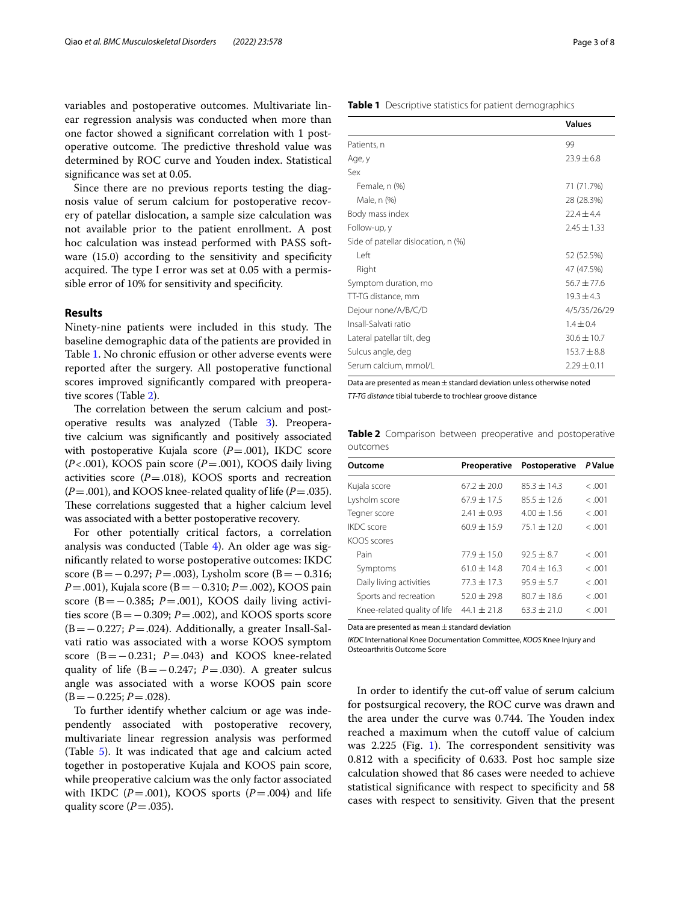variables and postoperative outcomes. Multivariate linear regression analysis was conducted when more than one factor showed a signifcant correlation with 1 postoperative outcome. The predictive threshold value was determined by ROC curve and Youden index. Statistical signifcance was set at 0.05.

Since there are no previous reports testing the diagnosis value of serum calcium for postoperative recovery of patellar dislocation, a sample size calculation was not available prior to the patient enrollment. A post hoc calculation was instead performed with PASS software (15.0) according to the sensitivity and specificity acquired. The type I error was set at 0.05 with a permissible error of 10% for sensitivity and specifcity.

#### **Results**

Ninety-nine patients were included in this study. The baseline demographic data of the patients are provided in Table [1](#page-2-0). No chronic effusion or other adverse events were reported after the surgery. All postoperative functional scores improved signifcantly compared with preoperative scores (Table [2](#page-2-1)).

The correlation between the serum calcium and postoperative results was analyzed (Table [3\)](#page-3-0). Preoperative calcium was signifcantly and positively associated with postoperative Kujala score  $(P=.001)$ , IKDC score (*P*<.001), KOOS pain score (*P*=.001), KOOS daily living activities score  $(P = .018)$ , KOOS sports and recreation  $(P = .001)$ , and KOOS knee-related quality of life  $(P = .035)$ . These correlations suggested that a higher calcium level was associated with a better postoperative recovery.

For other potentially critical factors, a correlation analysis was conducted (Table [4\)](#page-3-1). An older age was signifcantly related to worse postoperative outcomes: IKDC score (B = − 0.297; *P* = .003), Lysholm score (B = − 0.316; *P*=.001), Kujala score (B=−0.310; *P*=.002), KOOS pain score (B= $-0.385$ ; *P*=.001), KOOS daily living activities score ( $B = -0.309$ ;  $P = .002$ ), and KOOS sports score (B=−0.227; *P*=.024). Additionally, a greater Insall-Salvati ratio was associated with a worse KOOS symptom score  $(B=-0.231; P=.043)$  and KOOS knee-related quality of life (B=−0.247; *P*=.030). A greater sulcus angle was associated with a worse KOOS pain score (B=−0.225; *P*=.028).

To further identify whether calcium or age was independently associated with postoperative recovery, multivariate linear regression analysis was performed (Table [5\)](#page-3-2). It was indicated that age and calcium acted together in postoperative Kujala and KOOS pain score, while preoperative calcium was the only factor associated with IKDC  $(P=.001)$ , KOOS sports  $(P=.004)$  and life quality score  $(P=.035)$ .

|                                     | <b>Values</b>   |
|-------------------------------------|-----------------|
| Patients, n                         | 99              |
| Age, y                              | $73.9 + 6.8$    |
| Sex                                 |                 |
| Female, n (%)                       | 71 (71.7%)      |
| Male, n (%)                         | 28 (28.3%)      |
| Body mass index                     | $72.4 + 4.4$    |
| Follow-up, y                        | $2.45 + 1.33$   |
| Side of patellar dislocation, n (%) |                 |
| l eft                               | 52 (52.5%)      |
| Right                               | 47 (47.5%)      |
| Symptom duration, mo                | $56.7 + 77.6$   |
| TT-TG distance, mm                  | $19.3 + 4.3$    |
| Dejour none/A/B/C/D                 | 4/5/35/26/29    |
| Insall-Salvati ratio                | $1.4 + 0.4$     |
| Lateral patellar tilt, deg          | $30.6 + 10.7$   |
| Sulcus angle, deg                   | $153.7 + 8.8$   |
| Serum calcium, mmol/L               | $2.29 \pm 0.11$ |

<span id="page-2-0"></span>**Table 1** Descriptive statistics for patient demographics

Data are presented as mean  $\pm$  standard deviation unless otherwise noted *TT-TG distance* tibial tubercle to trochlear groove distance

<span id="page-2-1"></span>**Table 2** Comparison between preoperative and postoperative outcomes

| Outcome                      | Preoperative    | Postoperative   | P Value |
|------------------------------|-----------------|-----------------|---------|
| Kujala score                 | $67.2 + 20.0$   | $85.3 + 14.3$   | < .001  |
| Lysholm score                | $67.9 + 17.5$   | $85.5 + 12.6$   | < .001  |
| Tegner score                 | $2.41 \pm 0.93$ | $4.00 \pm 1.56$ | < .001  |
| IKDC score                   | $60.9 + 15.9$   | $75.1 \pm 12.0$ | < .001  |
| KOOS scores                  |                 |                 |         |
| Pain                         | $77.9 + 15.0$   | $92.5 + 8.7$    | < .001  |
| Symptoms                     | $61.0 \pm 14.8$ | $70.4 \pm 16.3$ | < .001  |
| Daily living activities      | $77.3 \pm 17.3$ | $95.9 + 5.7$    | < .001  |
| Sports and recreation        | $52.0 + 29.8$   | $80.7 + 18.6$   | < .001  |
| Knee-related quality of life | $44.1 \pm 21.8$ | $63.3 \pm 21.0$ | < .001  |
|                              |                 |                 |         |

Data are presented as mean $\pm$  standard deviation

*IKDC* International Knee Documentation Committee, *KOOS* Knee Injury and Osteoarthritis Outcome Score

In order to identify the cut-off value of serum calcium for postsurgical recovery, the ROC curve was drawn and the area under the curve was 0.744. The Youden index reached a maximum when the cutoff value of calcium was  $2.225$  (Fig. [1\)](#page-4-0). The correspondent sensitivity was 0.812 with a specifcity of 0.633. Post hoc sample size calculation showed that 86 cases were needed to achieve statistical signifcance with respect to specifcity and 58 cases with respect to sensitivity. Given that the present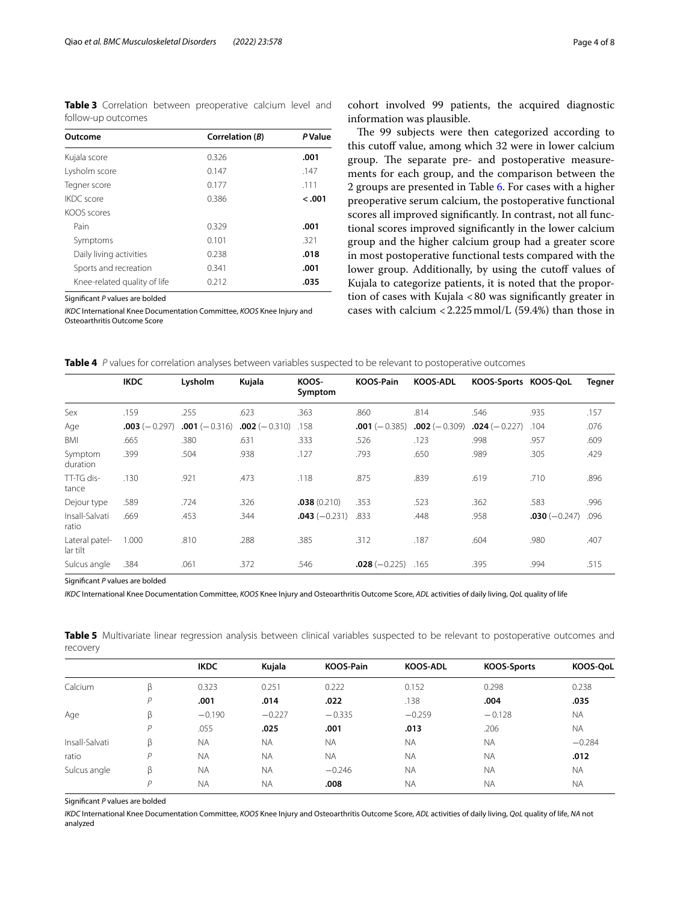<span id="page-3-0"></span>**Table 3** Correlation between preoperative calcium level and follow-up outcomes

| Outcome                      | Correlation (B) | <b>P</b> Value |
|------------------------------|-----------------|----------------|
| Kujala score                 | 0.326           | .001           |
| Lysholm score                | 0.147           | .147           |
| Tegner score                 | 0.177           | .111           |
| <b>IKDC</b> score            | 0.386           | $-.001$        |
| KOOS scores                  |                 |                |
| Pain                         | 0.329           | .001           |
| Symptoms                     | 0.101           | .321           |
| Daily living activities      | 0.238           | .018           |
| Sports and recreation        | 0.341           | .001           |
| Knee-related quality of life | 0.212           | .035           |

Signifcant *P* values are bolded

*IKDC* International Knee Documentation Committee, *KOOS* Knee Injury and Osteoarthritis Outcome Score

cohort involved 99 patients, the acquired diagnostic information was plausible.

The 99 subjects were then categorized according to this cutoff value, among which 32 were in lower calcium group. The separate pre- and postoperative measurements for each group, and the comparison between the 2 groups are presented in Table [6](#page-4-1). For cases with a higher preoperative serum calcium, the postoperative functional scores all improved signifcantly. In contrast, not all functional scores improved signifcantly in the lower calcium group and the higher calcium group had a greater score in most postoperative functional tests compared with the lower group. Additionally, by using the cutoff values of Kujala to categorize patients, it is noted that the proportion of cases with Kujala <80 was signifcantly greater in cases with calcium <2.225mmol/L (59.4%) than those in

<span id="page-3-1"></span>

| <b>Table 4</b> P values for correlation analyses between variables suspected to be relevant to postoperative outcomes |  |  |
|-----------------------------------------------------------------------------------------------------------------------|--|--|
|-----------------------------------------------------------------------------------------------------------------------|--|--|

|                            | <b>IKDC</b>     | Lysholm        | Kujala          | KOOS-<br>Symptom | <b>KOOS-Pain</b> | <b>KOOS-ADL</b> | KOOS-Sports KOOS-QoL |                | Tegner |
|----------------------------|-----------------|----------------|-----------------|------------------|------------------|-----------------|----------------------|----------------|--------|
| Sex                        | .159            | .255           | .623            | .363             | .860             | .814            | .546                 | .935           | .157   |
| Age                        | $.003 (-0.297)$ | $.001(-0.316)$ | $.002 (-0.310)$ | .158             | $.001 (-0.385)$  | $.002 (-0.309)$ | $.024(-0.227)$       | .104           | .076   |
| BMI                        | .665            | .380           | .631            | .333             | .526             | .123            | .998                 | .957           | .609   |
| Symptom<br>duration        | .399            | .504           | .938            | .127             | .793             | .650            | .989                 | .305           | .429   |
| TT-TG dis-<br>tance        | .130            | .921           | .473            | .118             | .875             | .839            | .619                 | .710           | .896   |
| Dejour type                | .589            | .724           | .326            | .038(0.210)      | .353             | .523            | .362                 | .583           | .996   |
| Insall-Salvati<br>ratio    | .669            | .453           | .344            | $.043(-0.231)$   | .833             | .448            | .958                 | $.030(-0.247)$ | .096   |
| Lateral patel-<br>lar tilt | 1.000           | .810           | .288            | .385             | .312             | .187            | .604                 | .980           | .407   |
| Sulcus angle               | .384            | .061           | .372            | .546             | $.028(-0.225)$   | .165            | .395                 | .994           | .515   |

Signifcant *P* values are bolded

*IKDC* International Knee Documentation Committee, *KOOS* Knee Injury and Osteoarthritis Outcome Score, *ADL* activities of daily living, *QoL* quality of life

<span id="page-3-2"></span>**Table 5** Multivariate linear regression analysis between clinical variables suspected to be relevant to postoperative outcomes and recovery

|                |   | <b>IKDC</b> | Kujala    | <b>KOOS-Pain</b> | <b>KOOS-ADL</b> | <b>KOOS-Sports</b> | KOOS-QoL  |
|----------------|---|-------------|-----------|------------------|-----------------|--------------------|-----------|
| Calcium        | β | 0.323       | 0.251     | 0.222            | 0.152           | 0.298              | 0.238     |
|                | D | .001        | .014      | .022             | .138            | .004               | .035      |
| Age            | ß | $-0.190$    | $-0.227$  | $-0.335$         | $-0.259$        | $-0.128$           | <b>NA</b> |
|                | P | .055        | .025      | .001             | .013            | .206               | <b>NA</b> |
| Insall-Salvati | β | <b>NA</b>   | <b>NA</b> | <b>NA</b>        | <b>NA</b>       | <b>NA</b>          | $-0.284$  |
| ratio          | D | <b>NA</b>   | <b>NA</b> | <b>NA</b>        | <b>NA</b>       | <b>NA</b>          | .012      |
| Sulcus angle   | ß | <b>NA</b>   | <b>NA</b> | $-0.246$         | <b>NA</b>       | <b>NA</b>          | <b>NA</b> |
|                | D | <b>NA</b>   | <b>NA</b> | .008             | <b>NA</b>       | <b>NA</b>          | <b>NA</b> |

Signifcant *P* values are bolded

*IKDC* International Knee Documentation Committee, *KOOS* Knee Injury and Osteoarthritis Outcome Score, *ADL* activities of daily living, *QoL* quality of life, *NA* not analyzed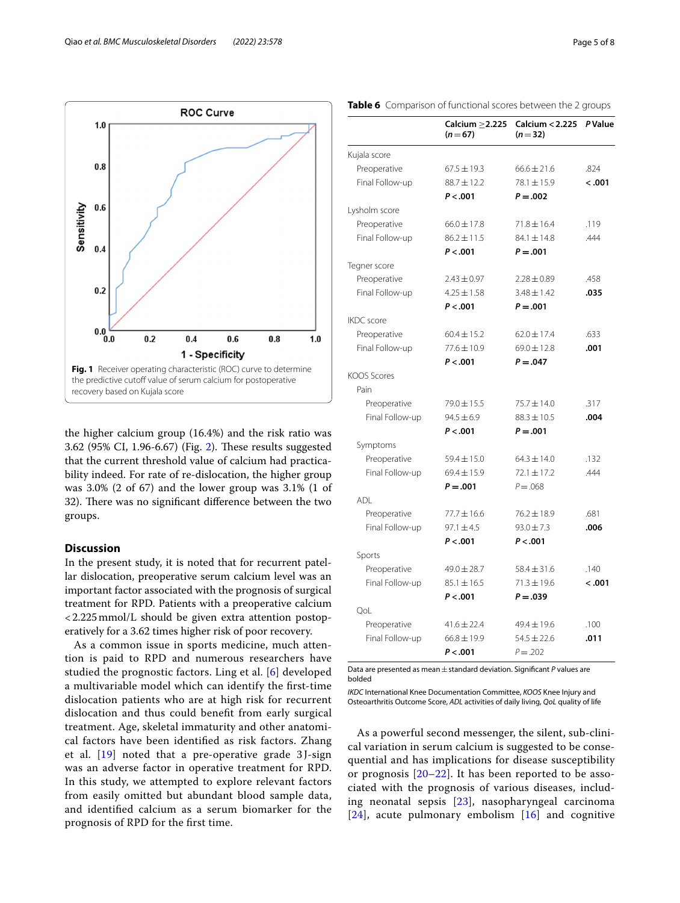



<span id="page-4-0"></span>the higher calcium group (16.4%) and the risk ratio was 3.6[2](#page-5-0) (95% CI, 1.96-6.67) (Fig. 2). These results suggested that the current threshold value of calcium had practicability indeed. For rate of re-dislocation, the higher group was 3.0% (2 of 67) and the lower group was 3.1% (1 of 32). There was no significant difference between the two groups.

# **Discussion**

In the present study, it is noted that for recurrent patellar dislocation, preoperative serum calcium level was an important factor associated with the prognosis of surgical treatment for RPD. Patients with a preoperative calcium <2.225mmol/L should be given extra attention postoperatively for a 3.62 times higher risk of poor recovery.

As a common issue in sports medicine, much attention is paid to RPD and numerous researchers have studied the prognostic factors. Ling et al. [[6\]](#page-6-4) developed a multivariable model which can identify the frst-time dislocation patients who are at high risk for recurrent dislocation and thus could beneft from early surgical treatment. Age, skeletal immaturity and other anatomical factors have been identifed as risk factors. Zhang et al.  $[19]$  noted that a pre-operative grade 3 J-sign was an adverse factor in operative treatment for RPD. In this study, we attempted to explore relevant factors from easily omitted but abundant blood sample data, and identifed calcium as a serum biomarker for the prognosis of RPD for the frst time.

<span id="page-4-1"></span>

|                    | Calcium $>2.225$<br>$(n=67)$ | <b>Calcium &lt; 2.225</b><br>$(n=32)$ | P Value |
|--------------------|------------------------------|---------------------------------------|---------|
| Kujala score       |                              |                                       |         |
| Preoperative       | $67.5 \pm 19.3$              | $66.6 \pm 21.6$                       | .824    |
| Final Follow-up    | 88.7±12.2                    | $78.1 \pm 15.9$                       | < .001  |
|                    | P < .001                     | $P = .002$                            |         |
| Lysholm score      |                              |                                       |         |
| Preoperative       | $66.0 \pm 17.8$              | $71.8 \pm 16.4$                       | .119    |
| Final Follow-up    | $86.2 \pm 11.5$              | $84.1 \pm 14.8$                       | .444    |
|                    | P < .001                     | $P = .001$                            |         |
| Tegner score       |                              |                                       |         |
| Preoperative       | $2.43 \pm 0.97$              | $2.28 \pm 0.89$                       | .458    |
| Final Follow-up    | $4.25 \pm 1.58$              | $3.48 \pm 1.42$                       | .035    |
|                    | P < .001                     | $P = .001$                            |         |
| <b>IKDC</b> score  |                              |                                       |         |
| Preoperative       | $60.4 \pm 15.2$              | $62.0 \pm 17.4$                       | .633    |
| Final Follow-up    | $77.6 \pm 10.9$              | $69.0 \pm 12.8$                       | .001    |
|                    | P < .001                     | $P = .047$                            |         |
| <b>KOOS Scores</b> |                              |                                       |         |
| Pain               |                              |                                       |         |
| Preoperative       | $79.0 \pm 15.5$              | 75.7 ± 14.0                           | .317    |
| Final Follow-up    | $94.5 \pm 6.9$               | $88.3 \pm 10.5$                       | .004    |
|                    | P < .001                     | $P = .001$                            |         |
| Symptoms           |                              |                                       |         |
| Preoperative       | $59.4 \pm 15.0$              | $64.3 \pm 14.0$                       | .132    |
| Final Follow-up    | $69.4 \pm 15.9$              | $72.1 \pm 17.2$                       | .444    |
|                    | $P = .001$                   | $P = 0.068$                           |         |
| ADI.               |                              |                                       |         |
| Preoperative       | $77.7 \pm 16.6$              | 76.2±18.9                             | .681    |
| Final Follow-up    | $97.1 \pm 4.5$               | $93.0 \pm 7.3$                        | .006    |
|                    | P < .001                     | P < .001                              |         |
| Sports             |                              |                                       |         |
| Preoperative       | $49.0 \pm 28.7$              | $58.4 \pm 31.6$                       | .140    |
| Final Follow-up    | $85.1 \pm 16.5$              | $71.3 \pm 19.6$                       | < .001  |
|                    | P < .001                     | $P = .039$                            |         |
| QoL                |                              |                                       |         |
| Preoperative       | $41.6 \pm 22.4$              | 49.4 ± 19.6                           | .100    |
| Final Follow-up    | $668 + 199$                  | $545 + 226$                           | 011     |

Data are presented as mean±standard deviation. Signifcant *P* values are bolded

 $P < .001$   $P = .202$ 

 $Final Follow-up$   $66.8 \pm 19.9$   $54.5 \pm 22.6$ 

*IKDC* International Knee Documentation Committee, *KOOS* Knee Injury and Osteoarthritis Outcome Score, *ADL* activities of daily living, *QoL* quality of life

As a powerful second messenger, the silent, sub-clinical variation in serum calcium is suggested to be consequential and has implications for disease susceptibility or prognosis [[20](#page-7-6)[–22](#page-7-7)]. It has been reported to be associated with the prognosis of various diseases, including neonatal sepsis [\[23](#page-7-8)], nasopharyngeal carcinoma  $[24]$  $[24]$  $[24]$ , acute pulmonary embolism  $[16]$  $[16]$  $[16]$  and cognitive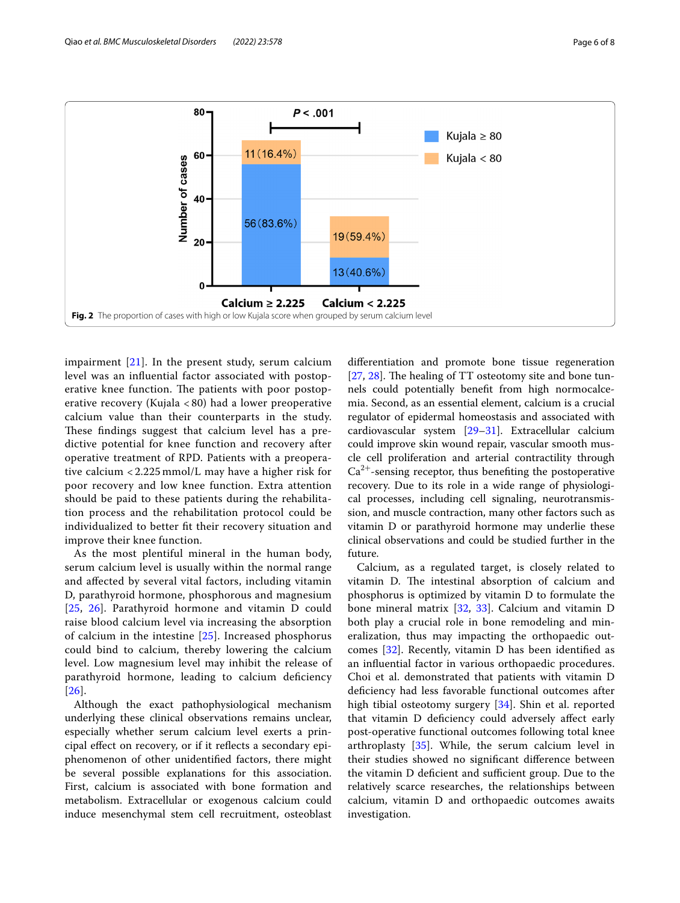

<span id="page-5-0"></span>impairment  $[21]$  $[21]$ . In the present study, serum calcium level was an infuential factor associated with postoperative knee function. The patients with poor postoperative recovery (Kujala < 80) had a lower preoperative calcium value than their counterparts in the study. These findings suggest that calcium level has a predictive potential for knee function and recovery after operative treatment of RPD. Patients with a preoperative calcium < 2.225 mmol/L may have a higher risk for poor recovery and low knee function. Extra attention should be paid to these patients during the rehabilitation process and the rehabilitation protocol could be individualized to better ft their recovery situation and improve their knee function.

As the most plentiful mineral in the human body, serum calcium level is usually within the normal range and afected by several vital factors, including vitamin D, parathyroid hormone, phosphorous and magnesium [[25](#page-7-12), [26\]](#page-7-13). Parathyroid hormone and vitamin D could raise blood calcium level via increasing the absorption of calcium in the intestine [[25](#page-7-12)]. Increased phosphorus could bind to calcium, thereby lowering the calcium level. Low magnesium level may inhibit the release of parathyroid hormone, leading to calcium defciency [[26](#page-7-13)].

Although the exact pathophysiological mechanism underlying these clinical observations remains unclear, especially whether serum calcium level exerts a principal efect on recovery, or if it refects a secondary epiphenomenon of other unidentifed factors, there might be several possible explanations for this association. First, calcium is associated with bone formation and metabolism. Extracellular or exogenous calcium could induce mesenchymal stem cell recruitment, osteoblast

diferentiation and promote bone tissue regeneration [[27,](#page-7-14) [28\]](#page-7-15). The healing of  $TT$  osteotomy site and bone tunnels could potentially beneft from high normocalcemia. Second, as an essential element, calcium is a crucial regulator of epidermal homeostasis and associated with cardiovascular system [\[29](#page-7-16)[–31](#page-7-17)]. Extracellular calcium could improve skin wound repair, vascular smooth muscle cell proliferation and arterial contractility through  $Ca<sup>2+</sup>$ -sensing receptor, thus benefiting the postoperative recovery. Due to its role in a wide range of physiological processes, including cell signaling, neurotransmission, and muscle contraction, many other factors such as vitamin D or parathyroid hormone may underlie these clinical observations and could be studied further in the future.

Calcium, as a regulated target, is closely related to vitamin D. The intestinal absorption of calcium and phosphorus is optimized by vitamin D to formulate the bone mineral matrix [[32,](#page-7-18) [33](#page-7-19)]. Calcium and vitamin D both play a crucial role in bone remodeling and mineralization, thus may impacting the orthopaedic outcomes [\[32](#page-7-18)]. Recently, vitamin D has been identifed as an infuential factor in various orthopaedic procedures. Choi et al. demonstrated that patients with vitamin D defciency had less favorable functional outcomes after high tibial osteotomy surgery [\[34](#page-7-20)]. Shin et al. reported that vitamin D defciency could adversely afect early post-operative functional outcomes following total knee arthroplasty [[35\]](#page-7-21). While, the serum calcium level in their studies showed no signifcant diference between the vitamin D deficient and sufficient group. Due to the relatively scarce researches, the relationships between calcium, vitamin D and orthopaedic outcomes awaits investigation.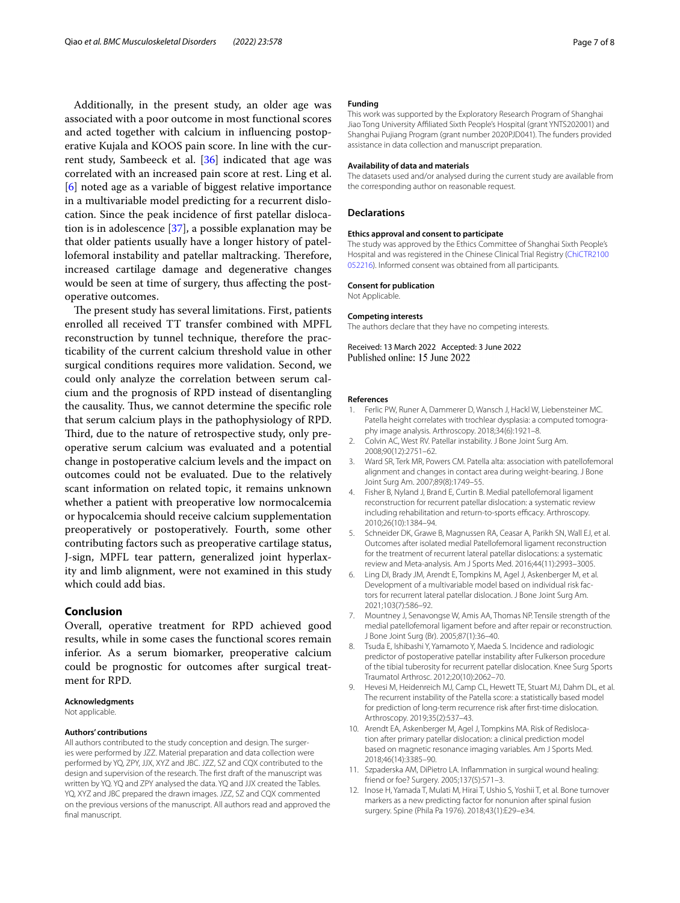Additionally, in the present study, an older age was associated with a poor outcome in most functional scores and acted together with calcium in infuencing postoperative Kujala and KOOS pain score. In line with the current study, Sambeeck et al. [[36](#page-7-22)] indicated that age was correlated with an increased pain score at rest. Ling et al. [[6\]](#page-6-4) noted age as a variable of biggest relative importance in a multivariable model predicting for a recurrent dislocation. Since the peak incidence of frst patellar dislocation is in adolescence [\[37](#page-7-23)], a possible explanation may be that older patients usually have a longer history of patellofemoral instability and patellar maltracking. Therefore, increased cartilage damage and degenerative changes would be seen at time of surgery, thus afecting the postoperative outcomes.

The present study has several limitations. First, patients enrolled all received TT transfer combined with MPFL reconstruction by tunnel technique, therefore the practicability of the current calcium threshold value in other surgical conditions requires more validation. Second, we could only analyze the correlation between serum calcium and the prognosis of RPD instead of disentangling the causality. Thus, we cannot determine the specific role that serum calcium plays in the pathophysiology of RPD. Third, due to the nature of retrospective study, only preoperative serum calcium was evaluated and a potential change in postoperative calcium levels and the impact on outcomes could not be evaluated. Due to the relatively scant information on related topic, it remains unknown whether a patient with preoperative low normocalcemia or hypocalcemia should receive calcium supplementation preoperatively or postoperatively. Fourth, some other contributing factors such as preoperative cartilage status, J-sign, MPFL tear pattern, generalized joint hyperlaxity and limb alignment, were not examined in this study which could add bias.

# **Conclusion**

Overall, operative treatment for RPD achieved good results, while in some cases the functional scores remain inferior. As a serum biomarker, preoperative calcium could be prognostic for outcomes after surgical treatment for RPD.

#### **Acknowledgments**

Not applicable.

#### **Authors' contributions**

All authors contributed to the study conception and design. The surgeries were performed by JZZ. Material preparation and data collection were performed by YQ, ZPY, JJX, XYZ and JBC. JZZ, SZ and CQX contributed to the design and supervision of the research. The frst draft of the manuscript was written by YQ. YQ and ZPY analysed the data. YQ and JJX created the Tables. YQ, XYZ and JBC prepared the drawn images. JZZ, SZ and CQX commented on the previous versions of the manuscript. All authors read and approved the final manuscript.

#### **Funding**

This work was supported by the Exploratory Research Program of Shanghai Jiao Tong University Afliated Sixth People's Hospital (grant YNTS202001) and Shanghai Pujiang Program (grant number 2020PJD041). The funders provided assistance in data collection and manuscript preparation.

#### **Availability of data and materials**

The datasets used and/or analysed during the current study are available from the corresponding author on reasonable request.

#### **Declarations**

#### **Ethics approval and consent to participate**

The study was approved by the Ethics Committee of Shanghai Sixth People's Hospital and was registered in the Chinese Clinical Trial Registry [\(ChiCTR2100](http://www.chictr.org.cn/index.aspx) [052216\)](http://www.chictr.org.cn/index.aspx). Informed consent was obtained from all participants.

#### **Consent for publication**

Not Applicable.

#### **Competing interests**

The authors declare that they have no competing interests.

Received: 13 March 2022 Accepted: 3 June 2022 Published online: 15 June 2022

#### **References**

- <span id="page-6-0"></span>1. Ferlic PW, Runer A, Dammerer D, Wansch J, Hackl W, Liebensteiner MC. Patella height correlates with trochlear dysplasia: a computed tomography image analysis. Arthroscopy. 2018;34(6):1921–8.
- 2. Colvin AC, West RV. Patellar instability. J Bone Joint Surg Am. 2008;90(12):2751–62.
- <span id="page-6-1"></span>3. Ward SR, Terk MR, Powers CM. Patella alta: association with patellofemoral alignment and changes in contact area during weight-bearing. J Bone Joint Surg Am. 2007;89(8):1749–55.
- <span id="page-6-2"></span>4. Fisher B, Nyland J, Brand E, Curtin B. Medial patellofemoral ligament reconstruction for recurrent patellar dislocation: a systematic review including rehabilitation and return-to-sports efficacy. Arthroscopy. 2010;26(10):1384–94.
- <span id="page-6-3"></span>5. Schneider DK, Grawe B, Magnussen RA, Ceasar A, Parikh SN, Wall EJ, et al. Outcomes after isolated medial Patellofemoral ligament reconstruction for the treatment of recurrent lateral patellar dislocations: a systematic review and Meta-analysis. Am J Sports Med. 2016;44(11):2993–3005.
- <span id="page-6-4"></span>6. Ling DI, Brady JM, Arendt E, Tompkins M, Agel J, Askenberger M, et al. Development of a multivariable model based on individual risk factors for recurrent lateral patellar dislocation. J Bone Joint Surg Am. 2021;103(7):586–92.
- <span id="page-6-5"></span>7. Mountney J, Senavongse W, Amis AA, Thomas NP. Tensile strength of the medial patellofemoral ligament before and after repair or reconstruction. J Bone Joint Surg (Br). 2005;87(1):36–40.
- <span id="page-6-6"></span>8. Tsuda E, Ishibashi Y, Yamamoto Y, Maeda S. Incidence and radiologic predictor of postoperative patellar instability after Fulkerson procedure of the tibial tuberosity for recurrent patellar dislocation. Knee Surg Sports Traumatol Arthrosc. 2012;20(10):2062–70.
- <span id="page-6-7"></span>9. Hevesi M, Heidenreich MJ, Camp CL, Hewett TE, Stuart MJ, Dahm DL, et al. The recurrent instability of the Patella score: a statistically based model for prediction of long-term recurrence risk after frst-time dislocation. Arthroscopy. 2019;35(2):537–43.
- <span id="page-6-8"></span>10. Arendt EA, Askenberger M, Agel J, Tompkins MA. Risk of Redislocation after primary patellar dislocation: a clinical prediction model based on magnetic resonance imaging variables. Am J Sports Med. 2018;46(14):3385–90.
- <span id="page-6-9"></span>11. Szpaderska AM, DiPietro LA. Infammation in surgical wound healing: friend or foe? Surgery. 2005;137(5):571–3.
- <span id="page-6-10"></span>12. Inose H, Yamada T, Mulati M, Hirai T, Ushio S, Yoshii T, et al. Bone turnover markers as a new predicting factor for nonunion after spinal fusion surgery. Spine (Phila Pa 1976). 2018;43(1):E29–e34.